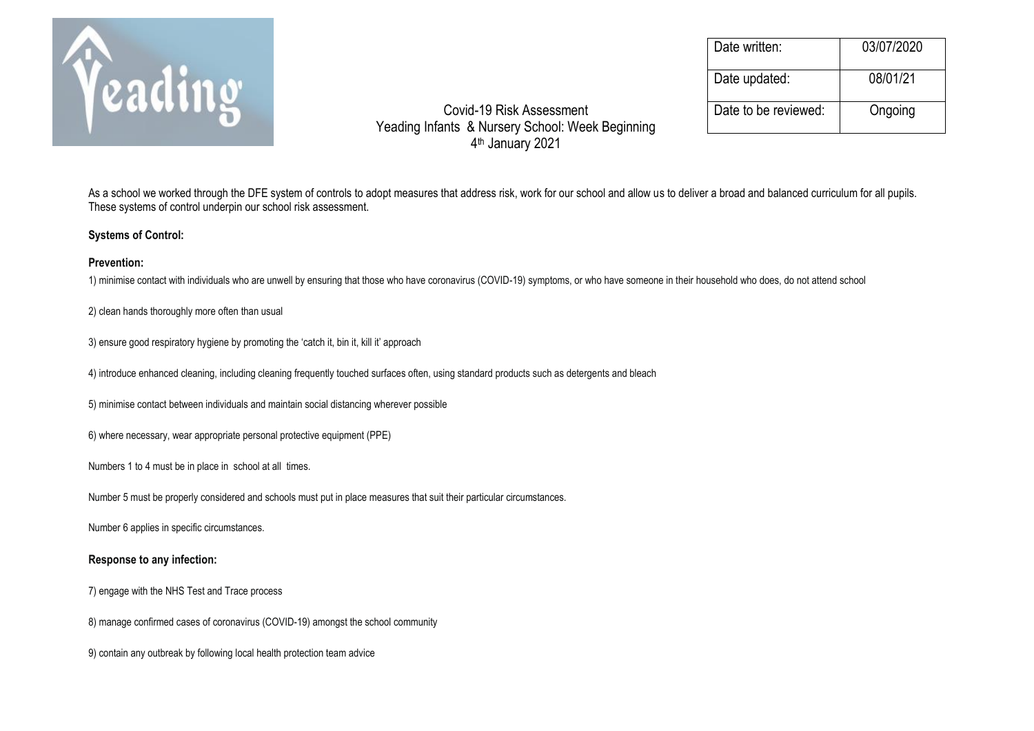

Date written: 03/07/2020 Date updated: 08/01/21

Covid-19 Risk Assessment Date to be reviewed: Ongoing Yeading Infants & Nursery School: Week Beginning 4 th January 2021

As a school we worked through the DFE system of controls to adopt measures that address risk, work for our school and allow us to deliver a broad and balanced curriculum for all pupils. These systems of control underpin our school risk assessment.

## **Systems of Control:**

## **Prevention:**

1) minimise contact with individuals who are unwell by ensuring that those who have coronavirus (COVID-19) symptoms, or who have someone in their household who does, do not attend school

## 2) clean hands thoroughly more often than usual

3) ensure good respiratory hygiene by promoting the 'catch it, bin it, kill it' approach

4) introduce enhanced cleaning, including cleaning frequently touched surfaces often, using standard products such as detergents and bleach

5) minimise contact between individuals and maintain social distancing wherever possible

6) where necessary, wear appropriate personal protective equipment (PPE)

Numbers 1 to 4 must be in place in school at all times.

Number 5 must be properly considered and schools must put in place measures that suit their particular circumstances.

Number 6 applies in specific circumstances.

## **Response to any infection:**

7) engage with the NHS Test and Trace process

8) manage confirmed cases of coronavirus (COVID-19) amongst the school community

9) contain any outbreak by following local health protection team advice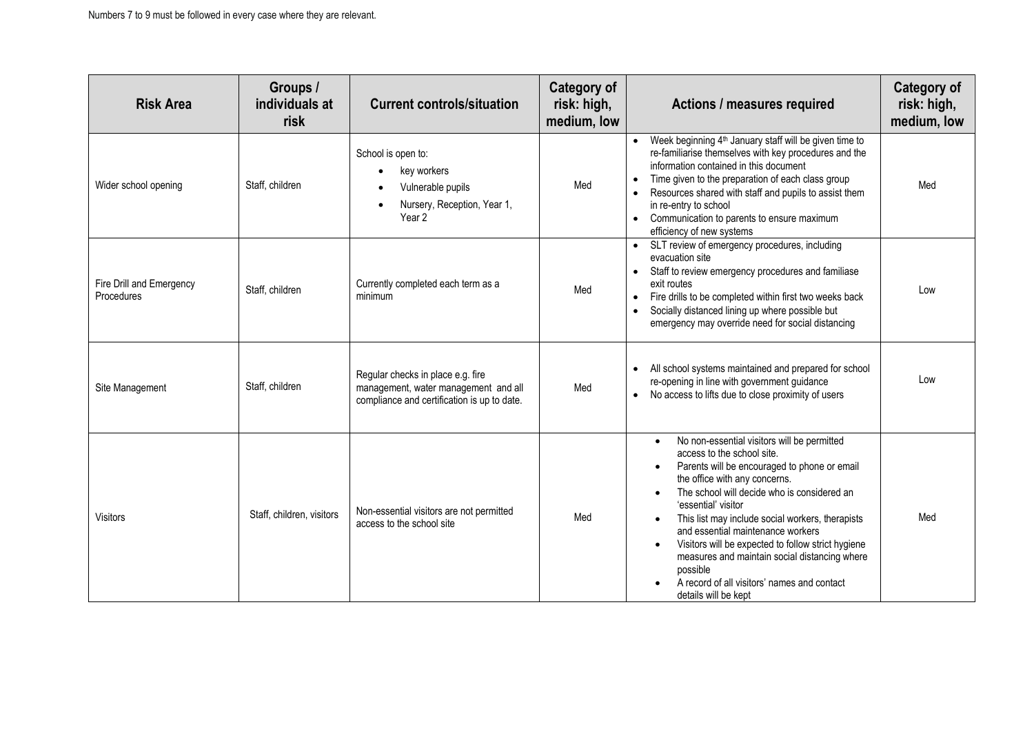| <b>Risk Area</b>                       | Groups /<br>individuals at<br>risk | <b>Current controls/situation</b>                                                                                        | <b>Category of</b><br>risk: high,<br>medium, low | Actions / measures required                                                                                                                                                                                                                                                                                                                                                                                                                                                                                                                   | <b>Category of</b><br>risk: high,<br>medium, low |
|----------------------------------------|------------------------------------|--------------------------------------------------------------------------------------------------------------------------|--------------------------------------------------|-----------------------------------------------------------------------------------------------------------------------------------------------------------------------------------------------------------------------------------------------------------------------------------------------------------------------------------------------------------------------------------------------------------------------------------------------------------------------------------------------------------------------------------------------|--------------------------------------------------|
| Wider school opening                   | Staff, children                    | School is open to:<br>key workers<br>Vulnerable pupils<br>Nursery, Reception, Year 1,<br>Year <sub>2</sub>               | Med                                              | Week beginning 4 <sup>th</sup> January staff will be given time to<br>re-familiarise themselves with key procedures and the<br>information contained in this document<br>Time given to the preparation of each class group<br>Resources shared with staff and pupils to assist them<br>in re-entry to school<br>Communication to parents to ensure maximum<br>efficiency of new systems                                                                                                                                                       | Med                                              |
| Fire Drill and Emergency<br>Procedures | Staff, children                    | Currently completed each term as a<br>minimum                                                                            | Med                                              | SLT review of emergency procedures, including<br>evacuation site<br>Staff to review emergency procedures and familiase<br>exit routes<br>Fire drills to be completed within first two weeks back<br>Socially distanced lining up where possible but<br>emergency may override need for social distancing                                                                                                                                                                                                                                      | Low                                              |
| Site Management                        | Staff, children                    | Regular checks in place e.g. fire<br>management, water management and all<br>compliance and certification is up to date. | Med                                              | All school systems maintained and prepared for school<br>re-opening in line with government guidance<br>No access to lifts due to close proximity of users<br>$\bullet$                                                                                                                                                                                                                                                                                                                                                                       | Low                                              |
| <b>Visitors</b>                        | Staff, children, visitors          | Non-essential visitors are not permitted<br>access to the school site                                                    | Med                                              | No non-essential visitors will be permitted<br>$\bullet$<br>access to the school site.<br>Parents will be encouraged to phone or email<br>the office with any concerns.<br>The school will decide who is considered an<br>'essential' visitor<br>This list may include social workers, therapists<br>and essential maintenance workers<br>Visitors will be expected to follow strict hygiene<br>$\bullet$<br>measures and maintain social distancing where<br>possible<br>A record of all visitors' names and contact<br>details will be kept | Med                                              |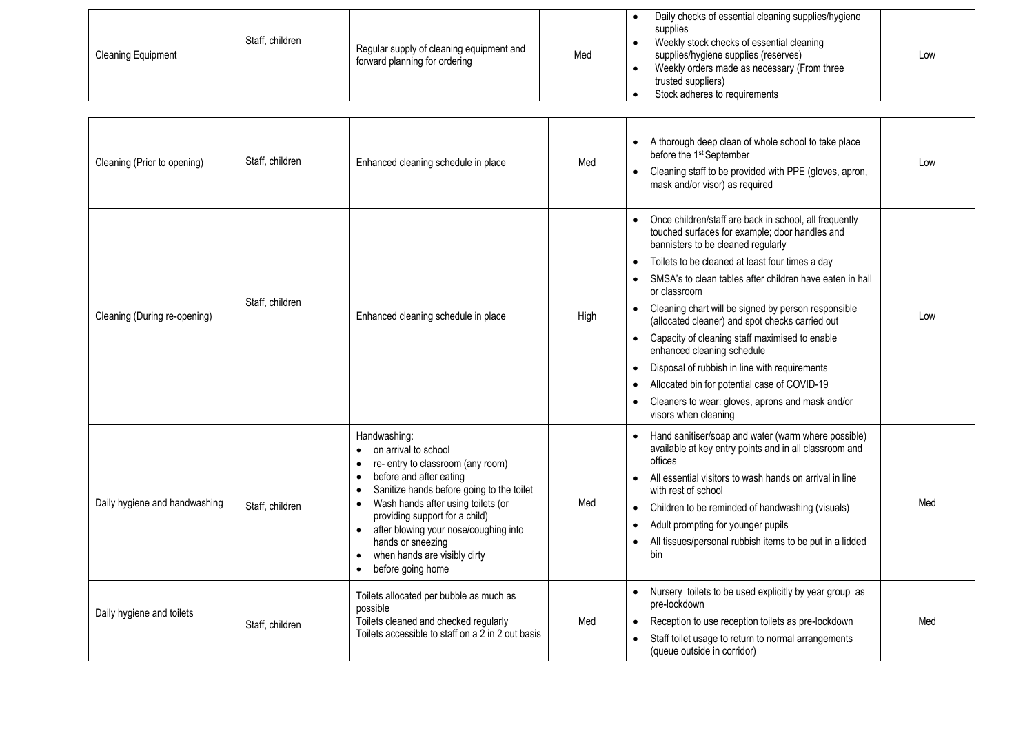| <b>Cleaning Equipment</b> | Staff, children | Regular supply of cleaning equipment and<br>forward planning for ordering | Med | Daily checks of essential cleaning supplies/hygiene<br>supplies<br>Weekly stock checks of essential cleaning<br>supplies/hygiene supplies (reserves)<br>Weekly orders made as necessary (From three<br>trusted suppliers)<br>Stock adheres to requirements | Low |
|---------------------------|-----------------|---------------------------------------------------------------------------|-----|------------------------------------------------------------------------------------------------------------------------------------------------------------------------------------------------------------------------------------------------------------|-----|
|                           |                 |                                                                           |     |                                                                                                                                                                                                                                                            |     |
|                           |                 |                                                                           |     |                                                                                                                                                                                                                                                            |     |

┑

| Cleaning (Prior to opening)   | Staff, children | Enhanced cleaning schedule in place                                                                                                                                                                                                                                                                                                                         | Med  | A thorough deep clean of whole school to take place<br>before the 1 <sup>st</sup> September<br>Cleaning staff to be provided with PPE (gloves, apron,<br>$\bullet$<br>mask and/or visor) as required                                                                                                                                                                                                                                                                                                                                                                                                                                                                                        | Low |
|-------------------------------|-----------------|-------------------------------------------------------------------------------------------------------------------------------------------------------------------------------------------------------------------------------------------------------------------------------------------------------------------------------------------------------------|------|---------------------------------------------------------------------------------------------------------------------------------------------------------------------------------------------------------------------------------------------------------------------------------------------------------------------------------------------------------------------------------------------------------------------------------------------------------------------------------------------------------------------------------------------------------------------------------------------------------------------------------------------------------------------------------------------|-----|
| Cleaning (During re-opening)  | Staff, children | Enhanced cleaning schedule in place                                                                                                                                                                                                                                                                                                                         | High | Once children/staff are back in school, all frequently<br>touched surfaces for example; door handles and<br>bannisters to be cleaned regularly<br>Toilets to be cleaned at least four times a day<br>SMSA's to clean tables after children have eaten in hall<br>or classroom<br>Cleaning chart will be signed by person responsible<br>$\bullet$<br>(allocated cleaner) and spot checks carried out<br>Capacity of cleaning staff maximised to enable<br>$\bullet$<br>enhanced cleaning schedule<br>Disposal of rubbish in line with requirements<br>$\bullet$<br>Allocated bin for potential case of COVID-19<br>Cleaners to wear: gloves, aprons and mask and/or<br>visors when cleaning | Low |
| Daily hygiene and handwashing | Staff, children | Handwashing:<br>on arrival to school<br>re- entry to classroom (any room)<br>before and after eating<br>Sanitize hands before going to the toilet<br>Wash hands after using toilets (or<br>providing support for a child)<br>• after blowing your nose/coughing into<br>hands or sneezing<br>when hands are visibly dirty<br>$\bullet$<br>before going home | Med  | Hand sanitiser/soap and water (warm where possible)<br>available at key entry points and in all classroom and<br>offices<br>All essential visitors to wash hands on arrival in line<br>$\bullet$<br>with rest of school<br>Children to be reminded of handwashing (visuals)<br>$\bullet$<br>Adult prompting for younger pupils<br>$\bullet$<br>All tissues/personal rubbish items to be put in a lidded<br>bin                                                                                                                                                                                                                                                                              | Med |
| Daily hygiene and toilets     | Staff, children | Toilets allocated per bubble as much as<br>possible<br>Toilets cleaned and checked regularly<br>Toilets accessible to staff on a 2 in 2 out basis                                                                                                                                                                                                           | Med  | Nursery toilets to be used explicitly by year group as<br>$\bullet$<br>pre-lockdown<br>Reception to use reception toilets as pre-lockdown<br>$\bullet$<br>Staff toilet usage to return to normal arrangements<br>(queue outside in corridor)                                                                                                                                                                                                                                                                                                                                                                                                                                                | Med |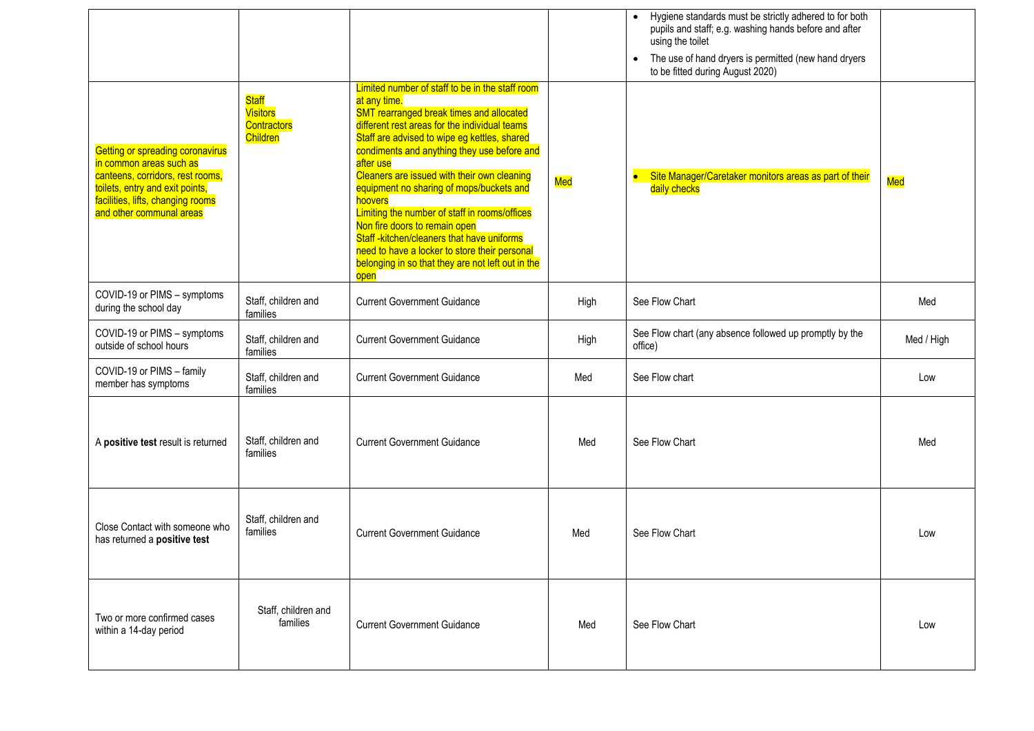|                                                                                                                                                                                                     |                                                                          |                                                                                                                                                                                                                                                                                                                                                                                                                                                                                                                                                                                                                                    |      | Hygiene standards must be strictly adhered to for both<br>pupils and staff; e.g. washing hands before and after<br>using the toilet<br>The use of hand dryers is permitted (new hand dryers<br>$\bullet$<br>to be fitted during August 2020) |            |
|-----------------------------------------------------------------------------------------------------------------------------------------------------------------------------------------------------|--------------------------------------------------------------------------|------------------------------------------------------------------------------------------------------------------------------------------------------------------------------------------------------------------------------------------------------------------------------------------------------------------------------------------------------------------------------------------------------------------------------------------------------------------------------------------------------------------------------------------------------------------------------------------------------------------------------------|------|----------------------------------------------------------------------------------------------------------------------------------------------------------------------------------------------------------------------------------------------|------------|
| Getting or spreading coronavirus<br>in common areas such as<br>canteens, corridors, rest rooms,<br>toilets, entry and exit points,<br>facilities, lifts, changing rooms<br>and other communal areas | <b>Staff</b><br><b>Visitors</b><br><b>Contractors</b><br><b>Children</b> | Limited number of staff to be in the staff room<br>at any time.<br><b>SMT rearranged break times and allocated</b><br>different rest areas for the individual teams<br>Staff are advised to wipe eg kettles, shared<br>condiments and anything they use before and<br>after use<br>Cleaners are issued with their own cleaning<br>equipment no sharing of mops/buckets and<br>hoovers<br>Limiting the number of staff in rooms/offices<br>Non fire doors to remain open<br>Staff-kitchen/cleaners that have uniforms<br>need to have a locker to store their personal<br>belonging in so that they are not left out in the<br>open | Med  | Site Manager/Caretaker monitors areas as part of their<br>$\bullet$<br>daily checks                                                                                                                                                          | Med        |
| COVID-19 or PIMS - symptoms<br>during the school day                                                                                                                                                | Staff, children and<br>families                                          | <b>Current Government Guidance</b>                                                                                                                                                                                                                                                                                                                                                                                                                                                                                                                                                                                                 | High | See Flow Chart                                                                                                                                                                                                                               | Med        |
| COVID-19 or PIMS - symptoms<br>outside of school hours                                                                                                                                              | Staff, children and<br>families                                          | <b>Current Government Guidance</b>                                                                                                                                                                                                                                                                                                                                                                                                                                                                                                                                                                                                 | High | See Flow chart (any absence followed up promptly by the<br>office)                                                                                                                                                                           | Med / High |
| COVID-19 or PIMS - family<br>member has symptoms                                                                                                                                                    | Staff, children and<br>families                                          | <b>Current Government Guidance</b>                                                                                                                                                                                                                                                                                                                                                                                                                                                                                                                                                                                                 | Med  | See Flow chart                                                                                                                                                                                                                               | Low        |
| A positive test result is returned                                                                                                                                                                  | Staff, children and<br>families                                          | <b>Current Government Guidance</b>                                                                                                                                                                                                                                                                                                                                                                                                                                                                                                                                                                                                 | Med  | See Flow Chart                                                                                                                                                                                                                               | Med        |
| Close Contact with someone who<br>has returned a positive test                                                                                                                                      | Staff, children and<br>families                                          | <b>Current Government Guidance</b>                                                                                                                                                                                                                                                                                                                                                                                                                                                                                                                                                                                                 | Med  | See Flow Chart                                                                                                                                                                                                                               | Low        |
| Two or more confirmed cases<br>within a 14-day period                                                                                                                                               | Staff, children and<br>families                                          | <b>Current Government Guidance</b>                                                                                                                                                                                                                                                                                                                                                                                                                                                                                                                                                                                                 | Med  | See Flow Chart                                                                                                                                                                                                                               | Low        |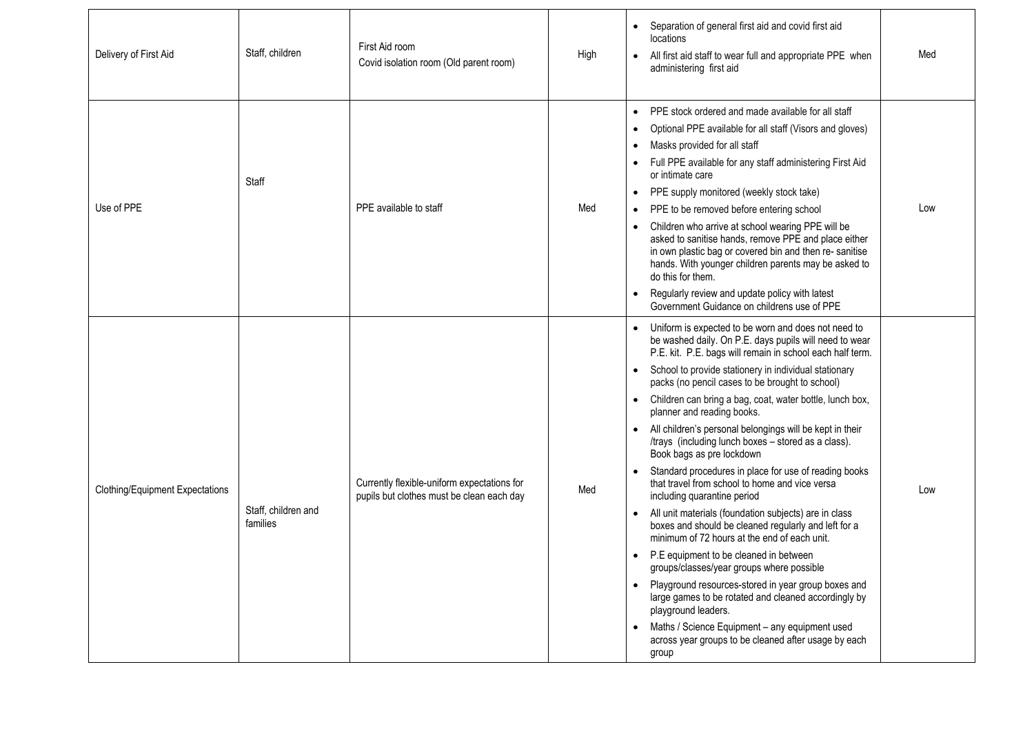| Delivery of First Aid                  | Staff, children                 | First Aid room<br>Covid isolation room (Old parent room)                                 | High | Separation of general first aid and covid first aid<br>$\bullet$<br>locations<br>All first aid staff to wear full and appropriate PPE when<br>$\bullet$<br>administering first aid                                                                                                                                                                                                                                                                                                                                                                                                                                                                                                                                                                                                                                                                                                                                                                                                                                                                                                                                                                                                                                                                                        | Med |
|----------------------------------------|---------------------------------|------------------------------------------------------------------------------------------|------|---------------------------------------------------------------------------------------------------------------------------------------------------------------------------------------------------------------------------------------------------------------------------------------------------------------------------------------------------------------------------------------------------------------------------------------------------------------------------------------------------------------------------------------------------------------------------------------------------------------------------------------------------------------------------------------------------------------------------------------------------------------------------------------------------------------------------------------------------------------------------------------------------------------------------------------------------------------------------------------------------------------------------------------------------------------------------------------------------------------------------------------------------------------------------------------------------------------------------------------------------------------------------|-----|
| Use of PPE                             | Staff                           | PPE available to staff                                                                   | Med  | PPE stock ordered and made available for all staff<br>$\bullet$<br>Optional PPE available for all staff (Visors and gloves)<br>$\bullet$<br>Masks provided for all staff<br>$\bullet$<br>Full PPE available for any staff administering First Aid<br>$\bullet$<br>or intimate care<br>PPE supply monitored (weekly stock take)<br>$\bullet$<br>PPE to be removed before entering school<br>$\bullet$<br>Children who arrive at school wearing PPE will be<br>$\bullet$<br>asked to sanitise hands, remove PPE and place either<br>in own plastic bag or covered bin and then re-sanitise<br>hands. With younger children parents may be asked to<br>do this for them.<br>Regularly review and update policy with latest<br>Government Guidance on childrens use of PPE                                                                                                                                                                                                                                                                                                                                                                                                                                                                                                    | Low |
| <b>Clothing/Equipment Expectations</b> | Staff, children and<br>families | Currently flexible-uniform expectations for<br>pupils but clothes must be clean each day | Med  | Uniform is expected to be worn and does not need to<br>be washed daily. On P.E. days pupils will need to wear<br>P.E. kit. P.E. bags will remain in school each half term.<br>School to provide stationery in individual stationary<br>$\bullet$<br>packs (no pencil cases to be brought to school)<br>Children can bring a bag, coat, water bottle, lunch box,<br>planner and reading books.<br>All children's personal belongings will be kept in their<br>$\bullet$<br>/trays (including lunch boxes - stored as a class).<br>Book bags as pre lockdown<br>Standard procedures in place for use of reading books<br>that travel from school to home and vice versa<br>including quarantine period<br>All unit materials (foundation subjects) are in class<br>$\bullet$<br>boxes and should be cleaned regularly and left for a<br>minimum of 72 hours at the end of each unit.<br>P.E equipment to be cleaned in between<br>$\bullet$<br>groups/classes/year groups where possible<br>Playground resources-stored in year group boxes and<br>$\bullet$<br>large games to be rotated and cleaned accordingly by<br>playground leaders.<br>Maths / Science Equipment - any equipment used<br>$\bullet$<br>across year groups to be cleaned after usage by each<br>group | Low |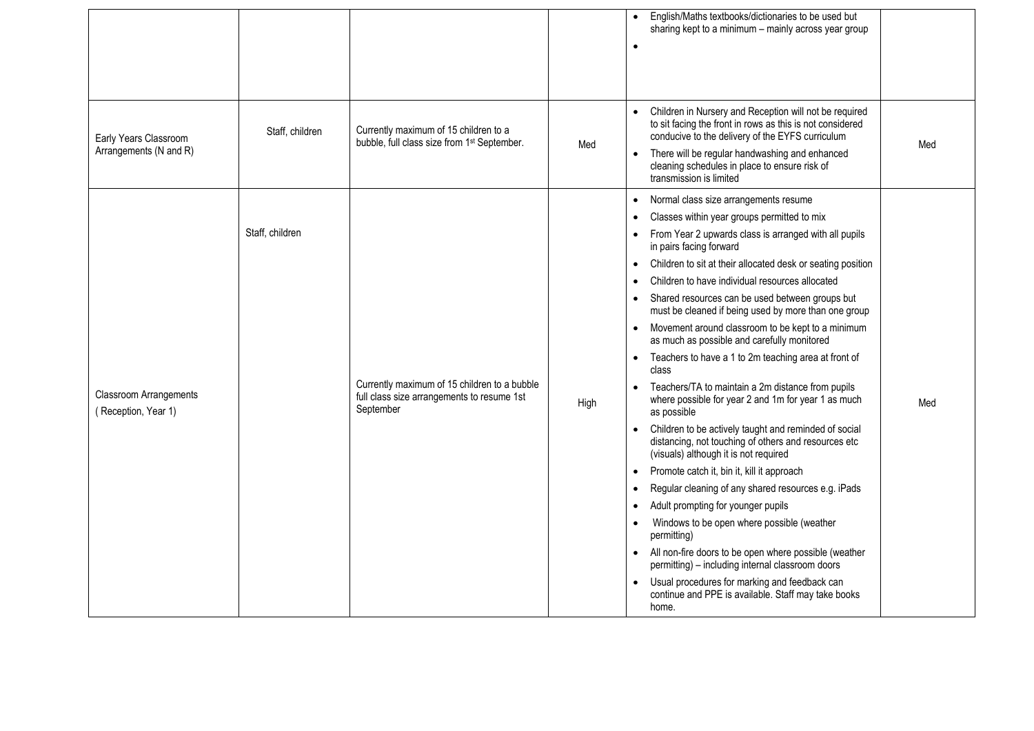|                                                 |                 |                                                                                                         |      | English/Maths textbooks/dictionaries to be used but<br>$\bullet$<br>sharing kept to a minimum - mainly across year group<br>$\bullet$                                                                                                                                                                                                                                                                                                                                                                                                                                                                                                                                                                                                                                                                                                                                                                                                                                                                                                                                                                                                                                                                                                                                                                                                                                                                                                                                                              |  |
|-------------------------------------------------|-----------------|---------------------------------------------------------------------------------------------------------|------|----------------------------------------------------------------------------------------------------------------------------------------------------------------------------------------------------------------------------------------------------------------------------------------------------------------------------------------------------------------------------------------------------------------------------------------------------------------------------------------------------------------------------------------------------------------------------------------------------------------------------------------------------------------------------------------------------------------------------------------------------------------------------------------------------------------------------------------------------------------------------------------------------------------------------------------------------------------------------------------------------------------------------------------------------------------------------------------------------------------------------------------------------------------------------------------------------------------------------------------------------------------------------------------------------------------------------------------------------------------------------------------------------------------------------------------------------------------------------------------------------|--|
| Early Years Classroom<br>Arrangements (N and R) | Staff, children | Currently maximum of 15 children to a<br>bubble, full class size from 1 <sup>st</sup> September.        | Med  | Children in Nursery and Reception will not be required<br>$\bullet$<br>to sit facing the front in rows as this is not considered<br>conducive to the delivery of the EYFS curriculum<br>Med<br>There will be regular handwashing and enhanced<br>$\bullet$<br>cleaning schedules in place to ensure risk of<br>transmission is limited                                                                                                                                                                                                                                                                                                                                                                                                                                                                                                                                                                                                                                                                                                                                                                                                                                                                                                                                                                                                                                                                                                                                                             |  |
| Classroom Arrangements<br>(Reception, Year 1)   | Staff, children | Currently maximum of 15 children to a bubble<br>full class size arrangements to resume 1st<br>September | High | Normal class size arrangements resume<br>$\bullet$<br>Classes within year groups permitted to mix<br>From Year 2 upwards class is arranged with all pupils<br>$\bullet$<br>in pairs facing forward<br>Children to sit at their allocated desk or seating position<br>$\bullet$<br>Children to have individual resources allocated<br>Shared resources can be used between groups but<br>$\bullet$<br>must be cleaned if being used by more than one group<br>Movement around classroom to be kept to a minimum<br>$\bullet$<br>as much as possible and carefully monitored<br>Teachers to have a 1 to 2m teaching area at front of<br>$\bullet$<br>class<br>Teachers/TA to maintain a 2m distance from pupils<br>$\bullet$<br>where possible for year 2 and 1m for year 1 as much<br>Med<br>as possible<br>Children to be actively taught and reminded of social<br>$\bullet$<br>distancing, not touching of others and resources etc<br>(visuals) although it is not required<br>Promote catch it, bin it, kill it approach<br>$\bullet$<br>Regular cleaning of any shared resources e.g. iPads<br>$\bullet$<br>Adult prompting for younger pupils<br>$\bullet$<br>Windows to be open where possible (weather<br>$\bullet$<br>permitting)<br>All non-fire doors to be open where possible (weather<br>$\bullet$<br>permitting) - including internal classroom doors<br>Usual procedures for marking and feedback can<br>$\bullet$<br>continue and PPE is available. Staff may take books<br>home. |  |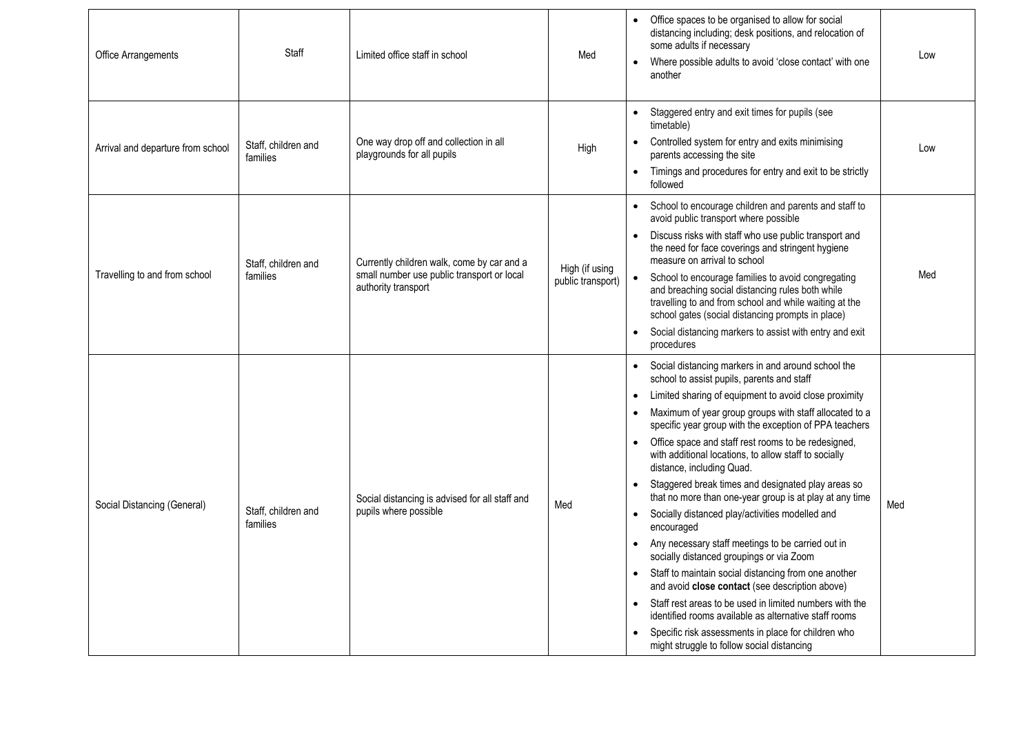| Office Arrangements               | Staff                           | Limited office staff in school                                                                                  | Med                                 | Office spaces to be organised to allow for social<br>distancing including; desk positions, and relocation of<br>some adults if necessary<br>Low<br>Where possible adults to avoid 'close contact' with one<br>another                                                                                                                                                                                                                                                                                                                                                                                                                                                                                                                                                                                                                                                                                                                                                                                                                                                                                                         |
|-----------------------------------|---------------------------------|-----------------------------------------------------------------------------------------------------------------|-------------------------------------|-------------------------------------------------------------------------------------------------------------------------------------------------------------------------------------------------------------------------------------------------------------------------------------------------------------------------------------------------------------------------------------------------------------------------------------------------------------------------------------------------------------------------------------------------------------------------------------------------------------------------------------------------------------------------------------------------------------------------------------------------------------------------------------------------------------------------------------------------------------------------------------------------------------------------------------------------------------------------------------------------------------------------------------------------------------------------------------------------------------------------------|
| Arrival and departure from school | Staff, children and<br>families | One way drop off and collection in all<br>playgrounds for all pupils                                            | High                                | Staggered entry and exit times for pupils (see<br>$\bullet$<br>timetable)<br>Controlled system for entry and exits minimising<br>Low<br>parents accessing the site<br>Timings and procedures for entry and exit to be strictly<br>$\bullet$<br>followed                                                                                                                                                                                                                                                                                                                                                                                                                                                                                                                                                                                                                                                                                                                                                                                                                                                                       |
| Travelling to and from school     | Staff, children and<br>families | Currently children walk, come by car and a<br>small number use public transport or local<br>authority transport | High (if using<br>public transport) | School to encourage children and parents and staff to<br>avoid public transport where possible<br>Discuss risks with staff who use public transport and<br>$\bullet$<br>the need for face coverings and stringent hygiene<br>measure on arrival to school<br>Med<br>School to encourage families to avoid congregating<br>and breaching social distancing rules both while<br>travelling to and from school and while waiting at the<br>school gates (social distancing prompts in place)<br>Social distancing markers to assist with entry and exit<br>$\bullet$<br>procedures                                                                                                                                                                                                                                                                                                                                                                                                                                                                                                                                               |
| Social Distancing (General)       | Staff, children and<br>families | Social distancing is advised for all staff and<br>pupils where possible                                         | Med                                 | • Social distancing markers in and around school the<br>school to assist pupils, parents and staff<br>Limited sharing of equipment to avoid close proximity<br>$\bullet$<br>Maximum of year group groups with staff allocated to a<br>$\bullet$<br>specific year group with the exception of PPA teachers<br>Office space and staff rest rooms to be redesigned,<br>$\bullet$<br>with additional locations, to allow staff to socially<br>distance, including Quad.<br>Staggered break times and designated play areas so<br>$\bullet$<br>that no more than one-year group is at play at any time<br>Med<br>Socially distanced play/activities modelled and<br>$\bullet$<br>encouraged<br>Any necessary staff meetings to be carried out in<br>socially distanced groupings or via Zoom<br>• Staff to maintain social distancing from one another<br>and avoid close contact (see description above)<br>Staff rest areas to be used in limited numbers with the<br>identified rooms available as alternative staff rooms<br>Specific risk assessments in place for children who<br>might struggle to follow social distancing |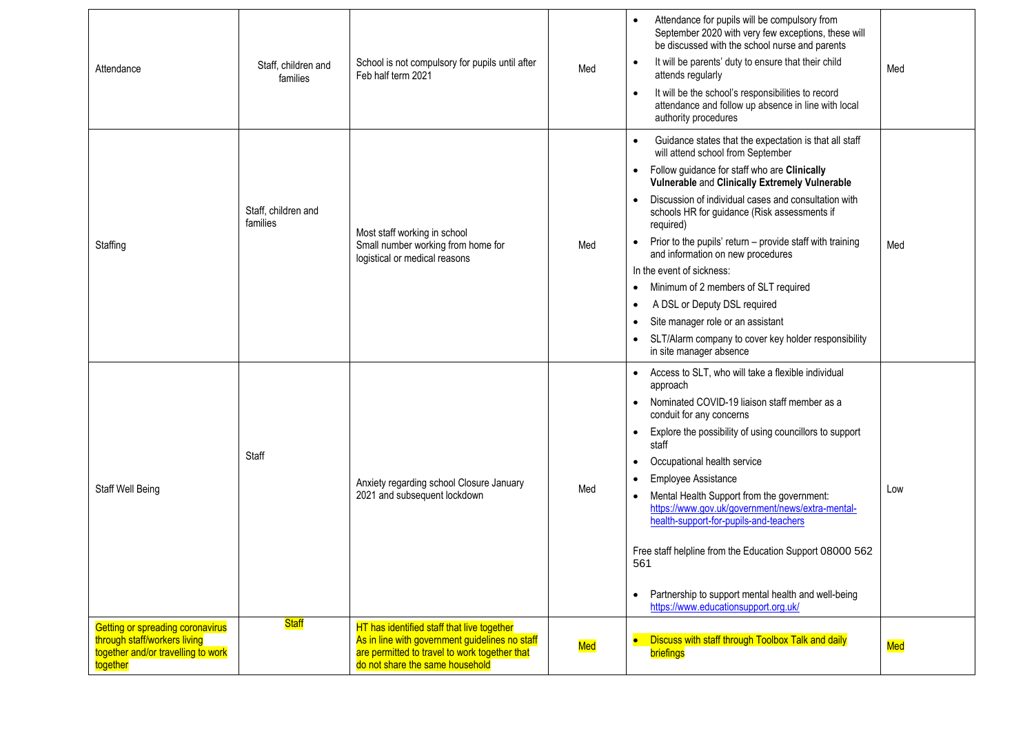| Getting or spreading coronavirus<br>through staff/workers living<br>together and/or travelling to work<br><b>together</b> | <b>Staff</b>                    | HT has identified staff that live together<br>As in line with government guidelines no staff<br>are permitted to travel to work together that<br>do not share the same household | Med | Partnership to support mental health and well-being<br>$\bullet$<br>https://www.educationsupport.org.uk/<br><b>Discuss with staff through Toolbox Talk and daily</b><br>briefings                                                                                                                                                                                                                                                                                                                                                                                                                                                                                                                                                            | <b>Med</b> |
|---------------------------------------------------------------------------------------------------------------------------|---------------------------------|----------------------------------------------------------------------------------------------------------------------------------------------------------------------------------|-----|----------------------------------------------------------------------------------------------------------------------------------------------------------------------------------------------------------------------------------------------------------------------------------------------------------------------------------------------------------------------------------------------------------------------------------------------------------------------------------------------------------------------------------------------------------------------------------------------------------------------------------------------------------------------------------------------------------------------------------------------|------------|
| Staff Well Being                                                                                                          | Staff                           | Anxiety regarding school Closure January<br>2021 and subsequent lockdown                                                                                                         | Med | Access to SLT, who will take a flexible individual<br>$\bullet$<br>approach<br>Nominated COVID-19 liaison staff member as a<br>$\bullet$<br>conduit for any concerns<br>Explore the possibility of using councillors to support<br>$\bullet$<br>staff<br>Occupational health service<br>$\bullet$<br>Employee Assistance<br>Mental Health Support from the government:<br>$\bullet$<br>https://www.gov.uk/government/news/extra-mental-<br>health-support-for-pupils-and-teachers<br>Free staff helpline from the Education Support 08000 562<br>561                                                                                                                                                                                         | Low        |
| Staffing                                                                                                                  | Staff, children and<br>families | Most staff working in school<br>Small number working from home for<br>logistical or medical reasons                                                                              | Med | Guidance states that the expectation is that all staff<br>$\bullet$<br>will attend school from September<br>Follow guidance for staff who are Clinically<br>$\bullet$<br>Vulnerable and Clinically Extremely Vulnerable<br>Discussion of individual cases and consultation with<br>$\bullet$<br>schools HR for guidance (Risk assessments if<br>required)<br>Prior to the pupils' return - provide staff with training<br>$\bullet$<br>and information on new procedures<br>In the event of sickness:<br>Minimum of 2 members of SLT required<br>$\bullet$<br>A DSL or Deputy DSL required<br>$\bullet$<br>Site manager role or an assistant<br>$\bullet$<br>SLT/Alarm company to cover key holder responsibility<br>in site manager absence | Med        |
| Attendance                                                                                                                | Staff, children and<br>families | School is not compulsory for pupils until after<br>Feb half term 2021                                                                                                            | Med | Attendance for pupils will be compulsory from<br>$\bullet$<br>September 2020 with very few exceptions, these will<br>be discussed with the school nurse and parents<br>It will be parents' duty to ensure that their child<br>attends regularly<br>It will be the school's responsibilities to record<br>$\bullet$<br>attendance and follow up absence in line with local<br>authority procedures                                                                                                                                                                                                                                                                                                                                            | Med        |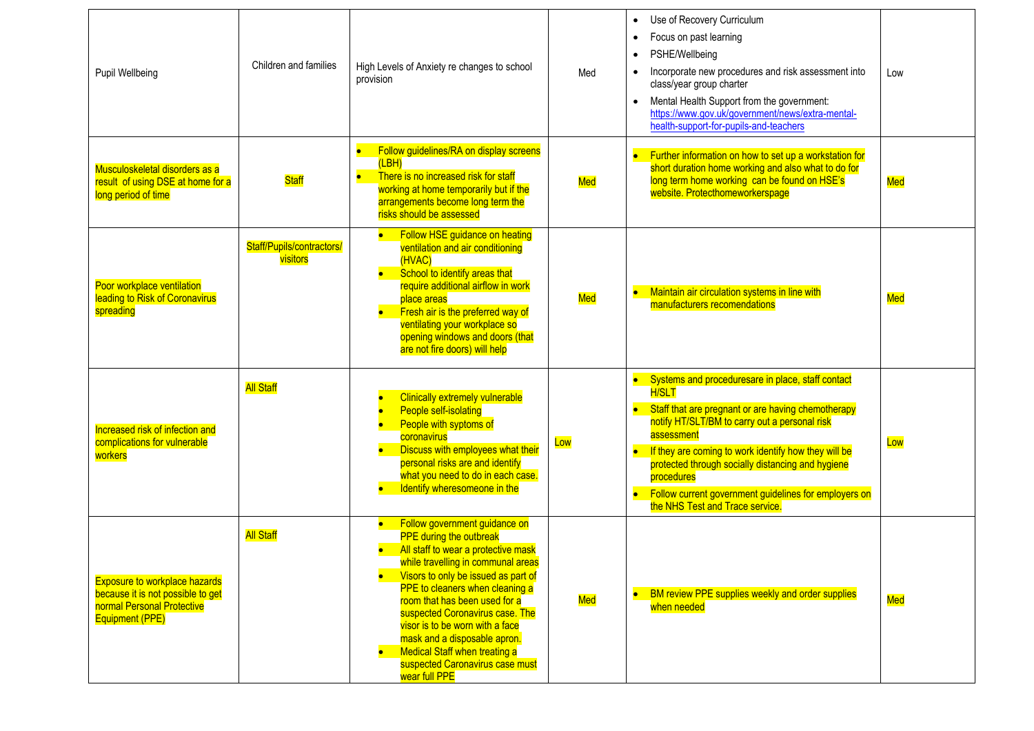| Pupil Wellbeing                                                                                                            | Children and families                 | High Levels of Anxiety re changes to school<br>provision                                                                                                                                                                                                                                                                                                                                                                                                  | Med | Use of Recovery Curriculum<br>$\bullet$<br>Focus on past learning<br>PSHE/Wellbeing<br>Incorporate new procedures and risk assessment into<br>$\bullet$<br>class/year group charter<br>Mental Health Support from the government:<br>$\bullet$<br>https://www.gov.uk/government/news/extra-mental-<br>health-support-for-pupils-and-teachers                                                                                   | Low |
|----------------------------------------------------------------------------------------------------------------------------|---------------------------------------|-----------------------------------------------------------------------------------------------------------------------------------------------------------------------------------------------------------------------------------------------------------------------------------------------------------------------------------------------------------------------------------------------------------------------------------------------------------|-----|--------------------------------------------------------------------------------------------------------------------------------------------------------------------------------------------------------------------------------------------------------------------------------------------------------------------------------------------------------------------------------------------------------------------------------|-----|
| Musculoskeletal disorders as a<br>result of using DSE at home for a<br>long period of time                                 | <b>Staff</b>                          | Follow guidelines/RA on display screens<br>(LBH)<br>There is no increased risk for staff<br>$\bullet$<br>working at home temporarily but if the<br>arrangements become long term the<br>risks should be assessed                                                                                                                                                                                                                                          | Med | Further information on how to set up a workstation for<br>$\bullet$<br>short duration home working and also what to do for<br>long term home working can be found on HSE's<br>website. Protecthomeworkerspage                                                                                                                                                                                                                  | Med |
| Poor workplace ventilation<br>leading to Risk of Coronavirus<br>spreading                                                  | Staff/Pupils/contractors/<br>visitors | Follow HSE guidance on heating<br>ventilation and air conditioning<br>(HVAC)<br>School to identify areas that<br>require additional airflow in work<br>place areas<br>Fresh air is the preferred way of<br>ventilating your workplace so<br>opening windows and doors (that<br>are not fire doors) will help                                                                                                                                              | Med | Maintain air circulation systems in line with<br>$\bullet$<br>manufacturers recomendations                                                                                                                                                                                                                                                                                                                                     | Med |
| Increased risk of infection and<br>complications for vulnerable<br>workers                                                 | <b>All Staff</b>                      | <b>Clinically extremely vulnerable</b><br>People self-isolating<br>People with syptoms of<br>coronavirus<br>Discuss with employees what their<br>personal risks are and identify<br>what you need to do in each case.<br>Identify wheresomeone in the                                                                                                                                                                                                     | Low | • Systems and proceduresare in place, staff contact<br><b>H/SLT</b><br>Staff that are pregnant or are having chemotherapy<br>$\bullet$<br>notify HT/SLT/BM to carry out a personal risk<br>assessment<br>If they are coming to work identify how they will be<br>protected through socially distancing and hygiene<br>procedures<br>• Follow current government guidelines for employers on<br>the NHS Test and Trace service. | Low |
| <b>Exposure to workplace hazards</b><br>because it is not possible to get<br>normal Personal Protective<br>Equipment (PPE) | <b>All Staff</b>                      | Follow government guidance on<br><b>PPE during the outbreak</b><br>All staff to wear a protective mask<br>while travelling in communal areas<br>Visors to only be issued as part of<br>PPE to cleaners when cleaning a<br>room that has been used for a<br>suspected Coronavirus case. The<br>visor is to be worn with a face<br>mask and a disposable apron.<br><b>Medical Staff when treating a</b><br>suspected Caronavirus case must<br>wear full PPE | Med | BM review PPE supplies weekly and order supplies<br>$\bullet$<br>when needed                                                                                                                                                                                                                                                                                                                                                   | Med |